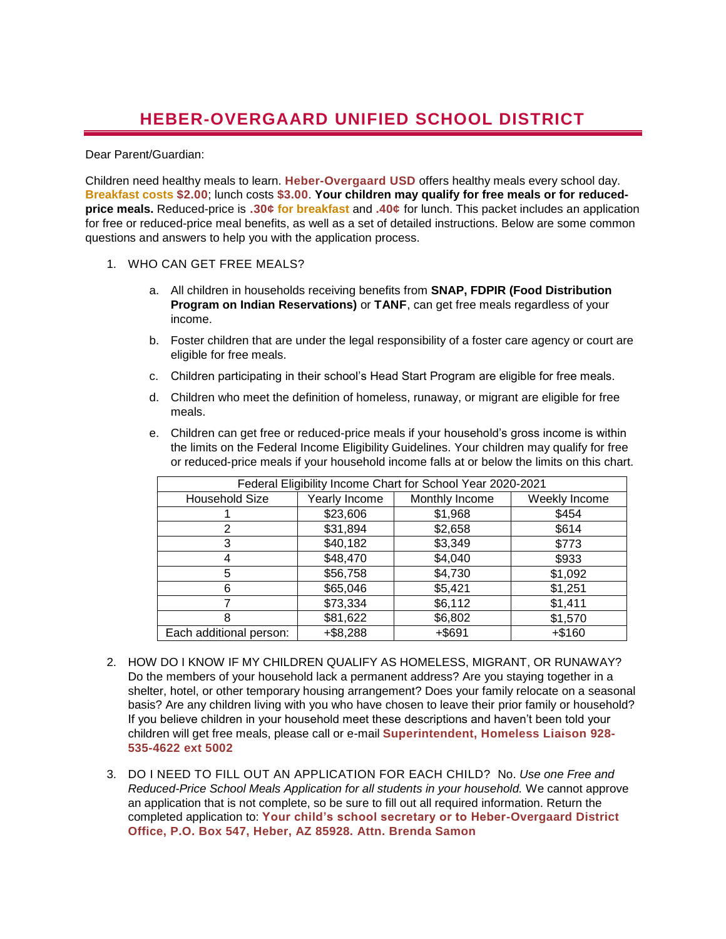## **HEBER-OVERGAARD UNIFIED SCHOOL DISTRICT**

## Dear Parent/Guardian:

Children need healthy meals to learn. **Heber-Overgaard USD** offers healthy meals every school day. **Breakfast costs \$2.00**; lunch costs **\$3.00**. **Your children may qualify for free meals or for reducedprice meals.** Reduced-price is **.30¢ for breakfast** and **.40¢** for lunch. This packet includes an application for free or reduced-price meal benefits, as well as a set of detailed instructions. Below are some common questions and answers to help you with the application process.

- 1. WHO CAN GET FREE MEALS?
	- a. All children in households receiving benefits from **SNAP, FDPIR (Food Distribution Program on Indian Reservations)** or **TANF**, can get free meals regardless of your income.
	- b. Foster children that are under the legal responsibility of a foster care agency or court are eligible for free meals.
	- c. Children participating in their school's Head Start Program are eligible for free meals.
	- d. Children who meet the definition of homeless, runaway, or migrant are eligible for free meals.
	- e. Children can get free or reduced-price meals if your household's gross income is within the limits on the Federal Income Eligibility Guidelines. Your children may qualify for free or reduced-price meals if your household income falls at or below the limits on this chart.

| Federal Eligibility Income Chart for School Year 2020-2021 |               |                |               |
|------------------------------------------------------------|---------------|----------------|---------------|
| <b>Household Size</b>                                      | Yearly Income | Monthly Income | Weekly Income |
|                                                            | \$23,606      | \$1,968        | \$454         |
| 2                                                          | \$31,894      | \$2,658        | \$614         |
| 3                                                          | \$40,182      | \$3,349        | \$773         |
| 4                                                          | \$48,470      | \$4,040        | \$933         |
| 5                                                          | \$56,758      | \$4,730        | \$1,092       |
| 6                                                          | \$65,046      | \$5,421        | \$1,251       |
|                                                            | \$73,334      | \$6,112        | \$1,411       |
| 8                                                          | \$81,622      | \$6,802        | \$1,570       |
| Each additional person:                                    | $+ $8,288$    | $+$ \$691      | $+ $160$      |

- 2. HOW DO I KNOW IF MY CHILDREN QUALIFY AS HOMELESS, MIGRANT, OR RUNAWAY? Do the members of your household lack a permanent address? Are you staying together in a shelter, hotel, or other temporary housing arrangement? Does your family relocate on a seasonal basis? Are any children living with you who have chosen to leave their prior family or household? If you believe children in your household meet these descriptions and haven't been told your children will get free meals, please call or e-mail **Superintendent, Homeless Liaison 928- 535-4622 ext 5002**
- 3. DO I NEED TO FILL OUT AN APPLICATION FOR EACH CHILD? No. *Use one Free and Reduced-Price School Meals Application for all students in your household.* We cannot approve an application that is not complete, so be sure to fill out all required information. Return the completed application to: **Your child's school secretary or to Heber-Overgaard District Office, P.O. Box 547, Heber, AZ 85928. Attn. Brenda Samon**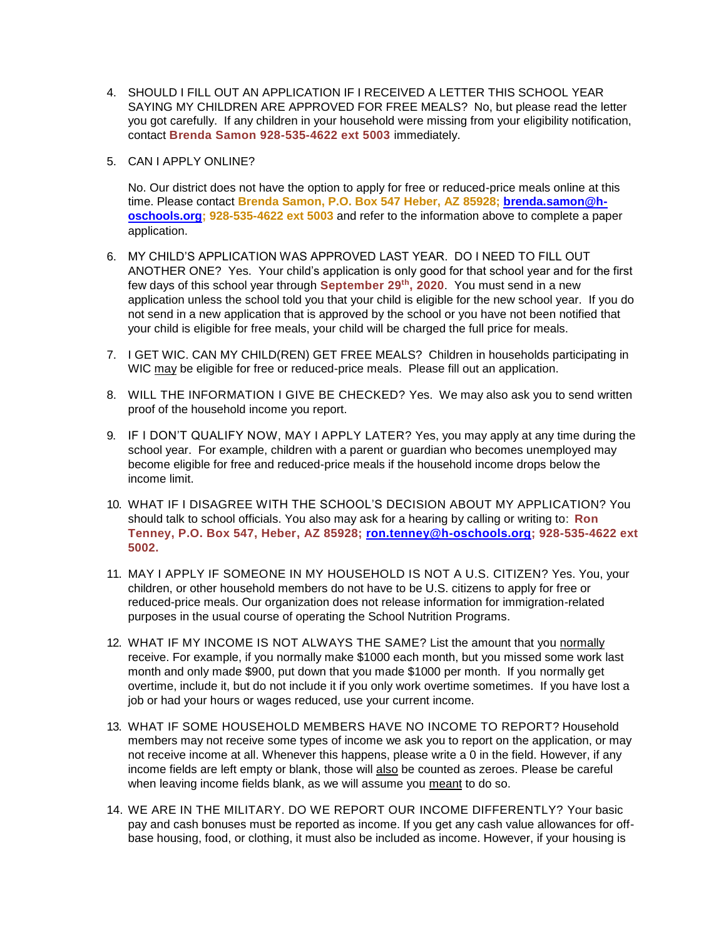- 4. SHOULD I FILL OUT AN APPLICATION IF I RECEIVED A LETTER THIS SCHOOL YEAR SAYING MY CHILDREN ARE APPROVED FOR FREE MEALS? No, but please read the letter you got carefully. If any children in your household were missing from your eligibility notification, contact **Brenda Samon 928-535-4622 ext 5003** immediately.
- 5. CAN I APPLY ONLINE?

No. Our district does not have the option to apply for free or reduced-price meals online at this time. Please contact **Brenda Samon, P.O. Box 547 Heber, AZ 85928; [brenda.samon@h](mailto:brenda.samon@h-oschools.org)[oschools.org;](mailto:brenda.samon@h-oschools.org) 928-535-4622 ext 5003** and refer to the information above to complete a paper application.

- 6. MY CHILD'S APPLICATION WAS APPROVED LAST YEAR. DO I NEED TO FILL OUT ANOTHER ONE? Yes. Your child's application is only good for that school year and for the first few days of this school year through **September 29th, 2020**. You must send in a new application unless the school told you that your child is eligible for the new school year. If you do not send in a new application that is approved by the school or you have not been notified that your child is eligible for free meals, your child will be charged the full price for meals.
- 7. I GET WIC. CAN MY CHILD(REN) GET FREE MEALS? Children in households participating in WIC may be eligible for free or reduced-price meals. Please fill out an application.
- 8. WILL THE INFORMATION I GIVE BE CHECKED? Yes. We may also ask you to send written proof of the household income you report.
- 9. IF I DON'T QUALIFY NOW, MAY I APPLY LATER? Yes, you may apply at any time during the school year. For example, children with a parent or guardian who becomes unemployed may become eligible for free and reduced-price meals if the household income drops below the income limit.
- 10. WHAT IF I DISAGREE WITH THE SCHOOL'S DECISION ABOUT MY APPLICATION? You should talk to school officials. You also may ask for a hearing by calling or writing to: **Ron Tenney, P.O. Box 547, Heber, AZ 85928; [ron.tenney@h-oschools.org;](mailto:ron.tenney@h-oschools.org) 928-535-4622 ext 5002.**
- 11. MAY I APPLY IF SOMEONE IN MY HOUSEHOLD IS NOT A U.S. CITIZEN? Yes. You, your children, or other household members do not have to be U.S. citizens to apply for free or reduced-price meals. Our organization does not release information for immigration-related purposes in the usual course of operating the School Nutrition Programs.
- 12. WHAT IF MY INCOME IS NOT ALWAYS THE SAME? List the amount that you normally receive. For example, if you normally make \$1000 each month, but you missed some work last month and only made \$900, put down that you made \$1000 per month. If you normally get overtime, include it, but do not include it if you only work overtime sometimes. If you have lost a job or had your hours or wages reduced, use your current income.
- 13. WHAT IF SOME HOUSEHOLD MEMBERS HAVE NO INCOME TO REPORT? Household members may not receive some types of income we ask you to report on the application, or may not receive income at all. Whenever this happens, please write a 0 in the field. However, if any income fields are left empty or blank, those will also be counted as zeroes. Please be careful when leaving income fields blank, as we will assume you meant to do so.
- 14. WE ARE IN THE MILITARY. DO WE REPORT OUR INCOME DIFFERENTLY? Your basic pay and cash bonuses must be reported as income. If you get any cash value allowances for offbase housing, food, or clothing, it must also be included as income. However, if your housing is